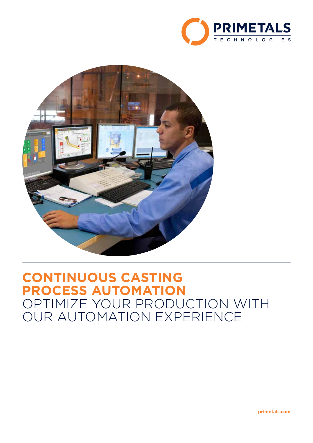



# **CONTINUOUS CASTING PROCESS AUTOMATION** OPTIMIZE YOUR PRODUCTION WITH OUR AUTOMATION EXPERIENCE

**primetals.com**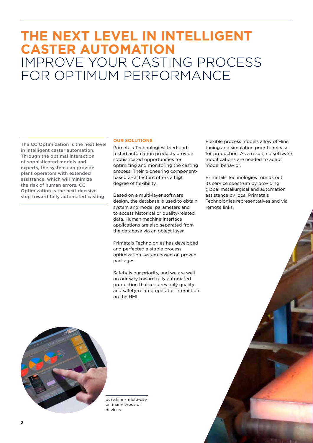# **THE NEXT LEVEL IN INTELLIGENT CASTER AUTOMATION** IMPROVE YOUR CASTING PROCESS FOR OPTIMUM PERFORMANCE

The CC Optimization is the next level in intelligent caster automation. Through the optimal interaction of sophisticated models and experts, the system can provide plant operators with extended assistance, which will minimize the risk of human errors. CC Optimization is the next decisive step toward fully automated casting.

### **OUR SOLUTIONS**

Primetals Technologies' tried-andtested automation products provide sophisticated opportunities for optimizing and monitoring the casting process. Their pioneering componentbased architecture offers a high degree of flexibility.

Based on a multi-layer software design, the database is used to obtain system and model parameters and to access historical or quality-related data. Human machine interface applications are also separated from the database via an object layer.

Primetals Technologies has developed and perfected a stable process optimization system based on proven packages.

Safety is our priority, and we are well on our way toward fully automated production that requires only quality and safety-related operator interaction on the HMI.

Flexible process models allow off-line tuning and simulation prior to release for production. As a result, no software modifications are needed to adapt model behavior.

Primetals Technologies rounds out its service spectrum by providing global metallurgical and automation assistance by local Primetals Technologies representatives and via remote links.



pure.hmi – multi-use on many types of devices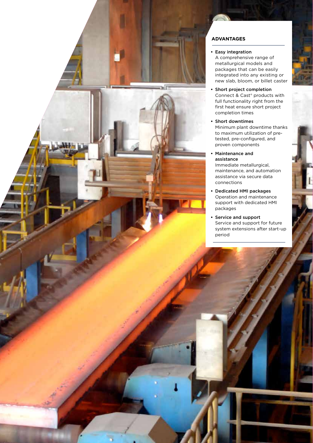

# **ADVANTAGES**

# **•** Easy integration

A comprehensive range of metallurgical models and packages that can be easily integrated into any existing or new slab, bloom, or billet caster

- **•** Short project completion Connect & Cast® products with full functionality right from the first heat ensure short project completion times
- **•** Short downtimes Minimum plant downtime thanks to maximum utilization of pretested, pre-configured, and proven components
- **•** Maintenance and assistance Immediate metallurgical, maintenance, and automation assistance via secure data
- **•** Dedicated HMI packages Operation and maintenance support with dedicated HMI packages
- **•** Service and support Service and support for future system extensions after start-up period

**3**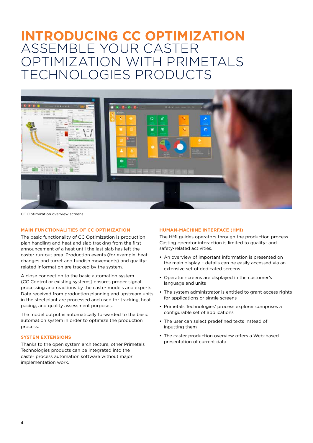# **INTRODUCING CC OPTIMIZATION** ASSEMBLE YOUR CASTER OPTIMIZATION WITH PRIMETALS TECHNOLOGIES PRODUCTS



CC Optimization overview screens

# **MAIN FUNCTIONALITIES OF CC OPTIMIZATION**

The basic functionality of CC Optimization is production plan handling and heat and slab tracking from the first announcement of a heat until the last slab has left the caster run-out area. Production events (for example, heat changes and turret and tundish movements) and qualityrelated information are tracked by the system.

A close connection to the basic automation system (CC Control or existing systems) ensures proper signal processing and reactions by the caster models and experts. Data received from production planning and upstream units in the steel plant are processed and used for tracking, heat pacing, and quality assessment purposes.

The model output is automatically forwarded to the basic automation system in order to optimize the production process.

# **SYSTEM EXTENSIONS**

Thanks to the open system architecture, other Primetals Technologies products can be integrated into the caster process automation software without major implementation work.

### **HUMAN-MACHINE INTERFACE (HMI)**

The HMI guides operators through the production process. Casting operator interaction is limited to quality- and safety-related activities.

- **•** An overview of important information is presented on the main display – details can be easily accessed via an extensive set of dedicated screens
- **•** Operator screens are displayed in the customer's language and units
- **•** The system administrator is entitled to grant access rights for applications or single screens
- **•** Primetals Technologies' process explorer comprises a configurable set of applications
- **•** The user can select predefined texts instead of inputting them
- **•** The caster production overview offers a Web-based presentation of current data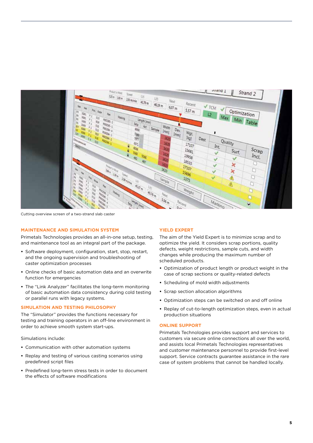

Cutting overview screen of a two-strand slab caster

# **MAINTENANCE AND SIMULATION SYSTEM**

Primetals Technologies provides an all-in-one setup, testing, and maintenance tool as an integral part of the package.

- **•** Software deployment, configuration, start, stop, restart, and the ongoing supervision and troubleshooting of caster optimization processes
- **•** Online checks of basic automation data and an overwrite function for emergencies
- **•** The "Link Analyzer" facilitates the long-term monitoring of basic automation data consistency during cold testing or parallel runs with legacy systems.

### **SIMULATION AND TESTING PHILOSOPHY**

The "Simulator" provides the functions necessary for testing and training operators in an off-line environment in order to achieve smooth system start-ups.

Simulations include:

- **•** Communication with other automation systems
- **•** Replay and testing of various casting scenarios using predefined script files
- **•** Predefined long-term stress tests in order to document the effects of software modifications

### **YIELD EXPERT**

The aim of the Yield Expert is to minimize scrap and to optimize the yield. It considers scrap portions, quality defects, weight restrictions, sample cuts, and width changes while producing the maximum number of scheduled products.

- **•** Optimization of product length or product weight in the case of scrap sections or quality-related defects
- **•** Scheduling of mold width adjustments
- **•** Scrap section allocation algorithms
- **•** Optimization steps can be switched on and off online
- **•** Replay of cut-to-length optimization steps, even in actual production situations

# **ONLINE SUPPORT**

Primetals Technologies provides support and services to customers via secure online connections all over the world, and assists local Primetals Technologies representatives and customer maintenance personnel to provide first-level support. Service contracts guarantee assistance in the rare case of system problems that cannot be handled locally.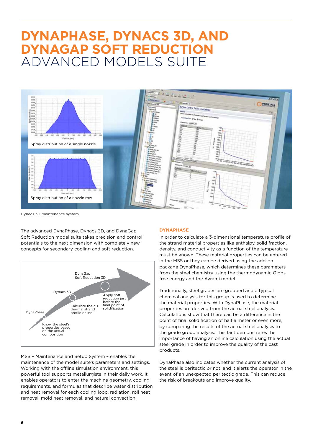# **DYNAPHASE, DYNACS 3D, AND DYNAGAP SOFT REDUCTION** ADVANCED MODELS SUITE



Dynacs 3D maintenance system

The advanced DynaPhase, Dynacs 3D, and DynaGap Soft Reduction model suite takes precision and control potentials to the next dimension with completely new concepts for secondary cooling and soft reduction.



MSS – Maintenance and Setup System – enables the maintenance of the model suite's parameters and settings. Working with the offline simulation environment, this powerful tool supports metallurgists in their daily work. It enables operators to enter the machine geometry, cooling requirements, and formulas that describe water distribution and heat removal for each cooling loop, radiation, roll heat removal, mold heat removal, and natural convection.

### **DYNAPHASE**

In order to calculate a 3-dimensional temperature profile of the strand material properties like enthalpy, solid fraction, density, and conductivity as a function of the temperature must be known. These material properties can be entered in the MSS or they can be derived using the add-on package DynaPhase, which determines these parameters from the steel chemistry using the thermodynamic Gibbs free energy and the Avrami model.

Traditionally, steel grades are grouped and a typical chemical analysis for this group is used to determine the material properties. With DynaPhase, the material properties are derived from the actual steel analysis. Calculations show that there can be a difference in the point of final solidification of half a meter or even more, by comparing the results of the actual steel analysis to the grade group analysis. This fact demonstrates the importance of having an online calculation using the actual steel grade in order to improve the quality of the cast products.

DynaPhase also indicates whether the current analysis of the steel is peritectic or not, and it alerts the operator in the event of an unexpected peritectic grade. This can reduce the risk of breakouts and improve quality.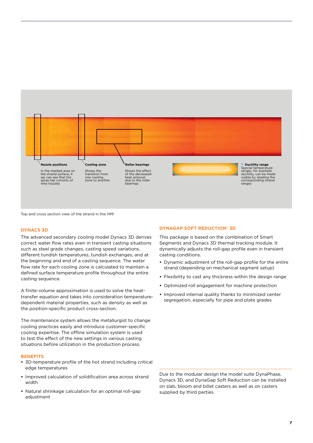

Top and cross section view of the strand in the HMI

### **DYNACS 3D**

The advanced secondary cooling model Dynacs 3D derives correct water flow rates even in transient casting situations such as steel grade changes, casting speed variations, different tundish temperatures, tundish exchanges, and at the beginning and end of a casting sequence. The water flow rate for each cooling zone is calculated to maintain a defined surface temperature profile throughout the entire casting sequence.

A finite-volume approximation is used to solve the heattransfer equation and takes into consideration temperaturedependent material properties, such as density as well as the position-specific product cross-section.

The maintenance system allows the metallurgist to change cooling practices easily and introduce customer-specific cooling expertise. The offline simulation system is used to test the effect of the new settings in various casting situations before utilization in the production process.

#### **BENEFITS**

- **•** 3D-temperature profile of the hot strand including critical edge temperatures
- **•** Improved calculation of solidification area across strand width
- **•** Natural shrinkage calculation for an optimal roll-gap adjustment

# **DYNAGAP SOFT REDUCTION® 3D**

This package is based on the combination of Smart Segments and Dynacs 3D thermal tracking module. It dynamically adjusts the roll-gap profile even in transient casting conditions.

- **•** Dynamic adjustment of the roll-gap profile for the entire strand (depending on mechanical segment setup)
- **•** Flexibility to cast any thickness within the design range
- **•** Optimized roll engagement for machine protection
- **•** Improved internal quality thanks to minimized center segregation, especially for pipe and plate grades

Due to the modular design the model suite DynaPhase, Dynacs 3D, and DynaGap Soft Reduction can be installed on slab, bloom and billet casters as well as on casters supplied by third parties.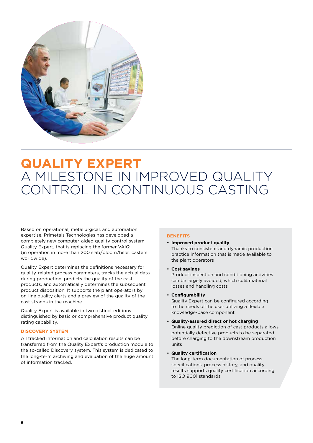

# **QUALITY EXPERT** A MILESTONE IN IMPROVED QUALITY CONTROL IN CONTINUOUS CASTING

Based on operational, metallurgical, and automation expertise, Primetals Technologies has developed a completely new computer-aided quality control system, Quality Expert, that is replacing the former VAIQ (in operation in more than 200 slab/bloom/billet casters worldwide).

Quality Expert determines the definitions necessary for quality-related process parameters, tracks the actual data during production, predicts the quality of the cast products, and automatically determines the subsequent product disposition. It supports the plant operators by on-line quality alerts and a preview of the quality of the cast strands in the machine.

Quality Expert is available in two distinct editions distinguished by basic or comprehensive product quality rating capability.

# **DISCOVERY SYSTEM**

All tracked information and calculation results can be transferred from the Quality Expert's production module to the so-called Discovery system. This system is dedicated to the long-term archiving and evaluation of the huge amount of information tracked.

# **BENEFITS**

- **• Improved product quality**  Thanks to consistent and dynamic production practice information that is made available to the plant operators
- **• Cost savings**

Product inspection and conditioning activities can be largely avoided, which cut**s** material losses and handling costs

**• Configurability**

Quality Expert can be configured according to the needs of the user utilizing a flexible knowledge-base component

- **• Quality-assured direct or hot charging** Online quality prediction of cast products allows potentially defective products to be separated before charging to the downstream production
- **• Quality certification**

units

The long-term documentation of process specifications, process history, and quality results supports quality certification according to ISO 9001 standards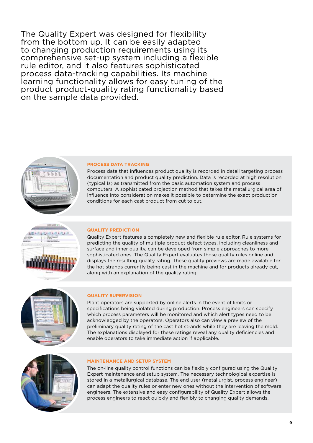The Quality Expert was designed for flexibility from the bottom up. It can be easily adapted to changing production requirements using its comprehensive set-up system including a flexible rule editor, and it also features sophisticated process data-tracking capabilities. Its machine learning functionality allows for easy tuning of the product product-quality rating functionality based on the sample data provided.



# **PROCESS DATA TRACKING**

Process data that influences product quality is recorded in detail targeting process documentation and product quality prediction. Data is recorded at high resolution (typical 1s) as transmitted from the basic automation system and process computers. A sophisticated projection method that takes the metallurgical area of influence into consideration makes it possible to determine the exact production conditions for each cast product from cut to cut.



# **QUALITY PREDICTION**

Quality Expert features a completely new and flexible rule editor. Rule systems for predicting the quality of multiple product defect types, including cleanliness and surface and inner quality, can be developed from simple approaches to more sophisticated ones. The Quality Expert evaluates those quality rules online and displays the resulting quality rating. These quality previews are made available for the hot strands currently being cast in the machine and for products already cut, along with an explanation of the quality rating.



# **QUALITY SUPERVISION**

Plant operators are supported by online alerts in the event of limits or specifications being violated during production. Process engineers can specify which process parameters will be monitored and which alert types need to be acknowledged by the operators. Operators also can view a preview of the preliminary quality rating of the cast hot strands while they are leaving the mold. The explanations displayed for these ratings reveal any quality deficiencies and enable operators to take immediate action if applicable.



### **MAINTENANCE AND SETUP SYSTEM**

The on-line quality control functions can be flexibly configured using the Quality Expert maintenance and setup system. The necessary technological expertise is stored in a metallurgical database. The end user (metallurgist, process engineer) can adapt the quality rules or enter new ones without the intervention of software engineers. The extensive and easy configurability of Quality Expert allows the process engineers to react quickly and flexibly to changing quality demands.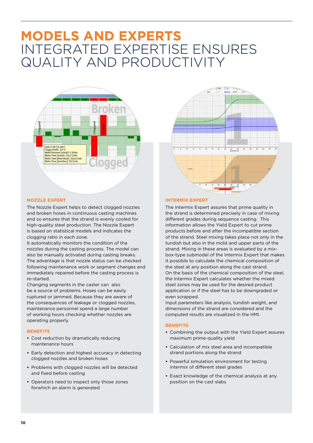# **MODELS AND EXPERTS** INTEGRATED EXPERTISE ENSURES QUALITY AND PRODUCTIVITY



# **NOZZLE EXPERT**

The Nozzle Expert helps to detect clogged nozzles and broken hoses in continuous casting machines and so ensures that the strand is evenly cooled for high-quality steel production. The Nozzle Expert is based on statistical models and indicates the clogging ratio in each zone.

It automatically monitors the condition of the nozzles during the casting process. The model can also be manually activated during casting breaks. The advantage is that nozzle status can be checked following maintenance work or segment changes and immediately repaired before the casting process is re-started.

Changing segments in the caster can also be a source of problems. Hoses can be easily ruptured or jammed. Because they are aware of the consequences of leakage or clogged nozzles, maintenance personnel spend a large number of working hours checking whether nozzles are operating properly.

# **BENEFITS**

- **•** Cost reduction by dramatically reducing maintenance hours
- **•** Early detection and highest accuracy in detecting clogged nozzles and broken hoses
- **•** Problems with clogged nozzles will be detected and fixed before casting
- **•** Operators need to inspect only those zones forwhich an alarm is generated



#### **INTERMIX EXPERT**

The Intermix Expert assures that prime quality in the strand is determined precisely in case of mixing different grades during sequence casting. This information allows the Yield Expert to cut prime products before and after the incompatible section of the strand. Steel mixing takes place not only in the tundish but also in the mold and upper parts of the strand. Mixing in these areas is evaluated by a mixbox-type submodel of the Intermix Expert that makes it possible to calculate the chemical composition of the steel at any position along the cast strand. On the basis of the chemical composition of the steel, the Intermix Expert calculates whether the mixed steel zones may be used for the desired product application or if the steel has to be downgraded or even scrapped.

Input parameters like analysis, tundish weight, and dimensions of the strand are considered and the computed results are visualized in the HMI.

### **BENEFITS**

- **•** Combining the output with the Yield Expert assures maximum prime-quality yield
- **•** Calculation of mix steel area and incompatible strand portions along the strand
- **•** Powerful simulation environment for testing intermix of different steel grades
- **•** Exact knowledge of the chemical analysis at any position on the cast slabs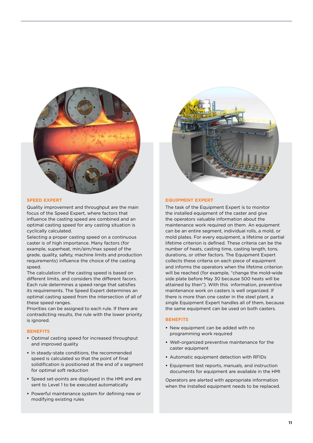

### **SPEED EXPERT**

Quality improvement and throughput are the main focus of the Speed Expert, where factors that influence the casting speed are combined and an optimal casting speed for any casting situation is cyclically calculated.

Selecting a proper casting speed on a continuous caster is of high importance. Many factors (for example, superheat, min/aim/max speed of the grade, quality, safety, machine limits and production requirements) influence the choice of the casting speed.

The calculation of the casting speed is based on different limits, and considers the different facors. Each rule determines a speed range that satisfies its requirements. The Speed Expert determines an optimal casting speed from the intersection of all of these speed ranges.

Priorities can be assigned to each rule. If there are contradicting results, the rule with the lower priority is ignored.

# **BENEFITS**

- **•** Optimal casting speed for increased throughput and improved quality
- **•** In steady-state conditions, the recommended speed is calculated so that the point of final solidification is positioned at the end of a segment for optimal soft reduction
- **•** Speed set-points are displayed in the HMI and are sent to Level 1 to be executed automatically
- **•** Powerful maintenance system for defining new or modifying existing rules



#### **EQUIPMENT EXPERT**

The task of the Equipment Expert is to monitor the installed equipment of the caster and give the operators valuable information about the maintenance work required on them. An equipment can be an entire segment, individual rolls, a mold, or mold plates. For every equipment, a lifetime or partial lifetime criterion is defined. These criteria can be the number of heats, casting time, casting length, tons, durations, or other factors. The Equipment Expert collects these criteria on each piece of equipment and informs the operators when the lifetime criterion will be reached (for example, "change the mold-wide side plate before May 30 because 500 heats will be attained by then"). With this information, preventive maintenance work on casters is well organized. If there is more than one caster in the steel plant, a single Equipment Expert handles all of them, because the same equipment can be used on both casters.

## **BENEFITS**

- **•** New equipment can be added with no programming work required
- **•** Well-organized preventive maintenance for the caster equipment
- **•** Automatic equipment detection with RFIDs
- **•** Equipment test reports, manuals, and instruction documents for equipment are available in the HMI

Operators are alerted with appropriate information when the installed equipment needs to be replaced.